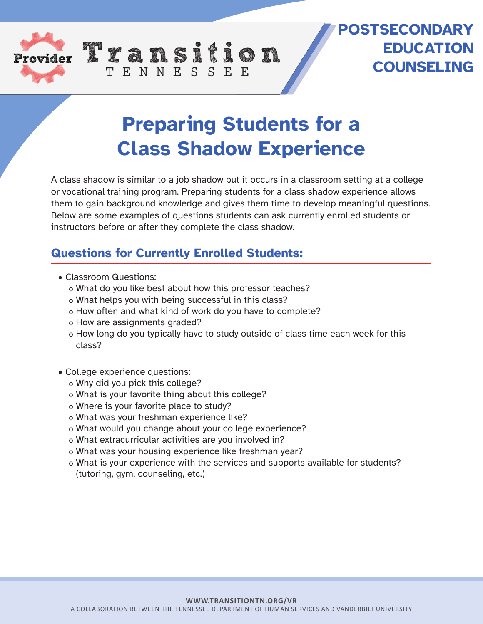

## **POSTSECONDARY EDUCATION COUNSELING**

## **Preparing Students for a Class Shadow Experience**

A class shadow is similar to a job shadow but it occurs in a classroom setting at a college or vocational training program. Preparing students for a class shadow experience allows them to gain background knowledge and gives them time to develop meaningful questions. Below are some examples of questions students can ask currently enrolled students or instructors before or after they complete the class shadow.

## **Questions for Currently Enrolled Students:**

TENNESSEE

- Classroom Questions:
	- o What do you like best about how this professor teaches?
	- o What helps you with being successful in this class?
	- o How often and what kind of work do you have to complete?
	- o How are assignments graded?
	- o How long do you typically have to study outside of class time each week for this class?
- College experience questions:
	- o Why did you pick this college?
	- o What is your favorite thing about this college?
	- o Where is your favorite place to study?
	- o What was your freshman experience like?
	- o What would you change about your college experience?
	- o What extracurricular activities are you involved in?
	- o What was your housing experience like freshman year?
	- o What is your experience with the services and supports available for students? (tutoring, gym, counseling, etc.)